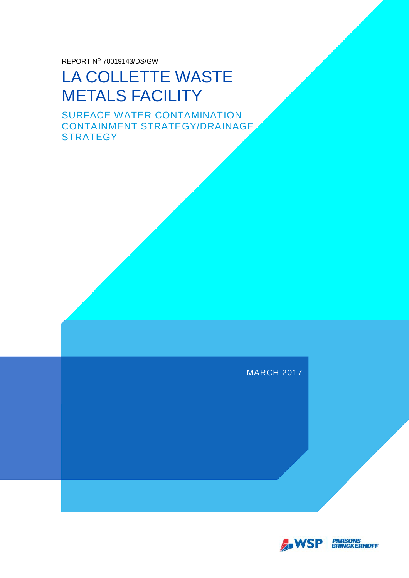REPORT Nº 70019143/DS/GW

### LA COLLETTE WASTE METALS FACILITY

SURFACE WATER CONTAMINATION CONTAINMENT STRATEGY/DRAINAGE **STRATEGY** 

MARCH 2017

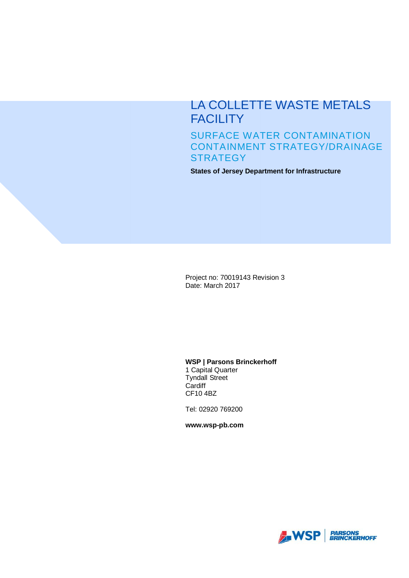### LA COLLETTE WASTE METALS **FACILITY**

SURFACE WATER CONTAMINATION CONTAINMENT STRATEGY/DRAINAGE **STRATEGY** 

**States of Jersey Department for Infrastructure**

Project no: 70019143 Revision 3 Date: March 2017

#### **WSP | Parsons Brinckerhoff**

1 Capital Quarter Tyndall Street **Cardiff** CF10 4BZ

Tel: 02920 769200

**www.wsp-pb.com**

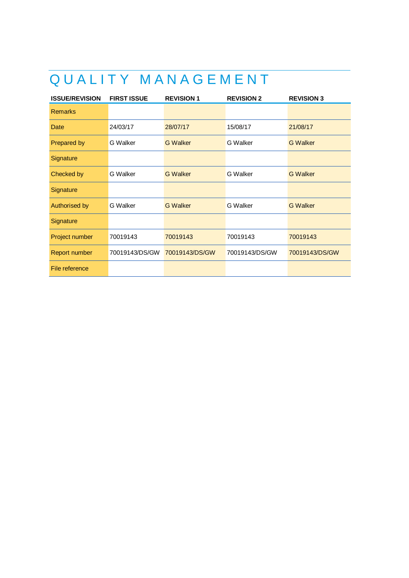### QUALITY MANAGEMENT

| <b>ISSUE/REVISION</b> | <b>FIRST ISSUE</b> | <b>REVISION 1</b> | <b>REVISION 2</b> | <b>REVISION 3</b> |
|-----------------------|--------------------|-------------------|-------------------|-------------------|
| <b>Remarks</b>        |                    |                   |                   |                   |
| Date                  | 24/03/17           | 28/07/17          | 15/08/17          | 21/08/17          |
| <b>Prepared by</b>    | G Walker           | <b>G</b> Walker   | G Walker          | <b>G</b> Walker   |
| Signature             |                    |                   |                   |                   |
| Checked by            | G Walker           | <b>G</b> Walker   | <b>G</b> Walker   | <b>G</b> Walker   |
| Signature             |                    |                   |                   |                   |
| <b>Authorised by</b>  | <b>G</b> Walker    | <b>G</b> Walker   | G Walker          | <b>G</b> Walker   |
| Signature             |                    |                   |                   |                   |
| Project number        | 70019143           | 70019143          | 70019143          | 70019143          |
| Report number         | 70019143/DS/GW     | 70019143/DS/GW    | 70019143/DS/GW    | 70019143/DS/GW    |
| File reference        |                    |                   |                   |                   |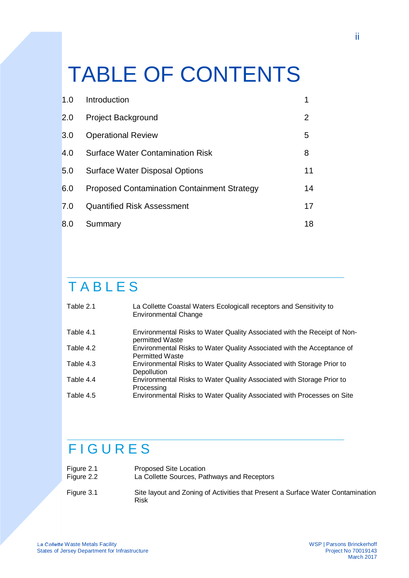# TABLE OF CONTENTS

| 1.0 | Introduction                                       |                       |
|-----|----------------------------------------------------|-----------------------|
| 2.0 | <b>Project Background</b>                          | $\mathbf{2}^{\prime}$ |
| 3.0 | <b>Operational Review</b>                          | 5                     |
| 4.0 | <b>Surface Water Contamination Risk</b>            | 8                     |
| 5.0 | <b>Surface Water Disposal Options</b>              | 11                    |
| 6.0 | <b>Proposed Contamination Containment Strategy</b> | 14                    |
| 7.0 | <b>Quantified Risk Assessment</b>                  | 17                    |
| 8.0 | Summary                                            | 18                    |

### TABLES

| Table 2.1 | La Collette Coastal Waters Ecologicall receptors and Sensitivity to<br><b>Environmental Change</b> |
|-----------|----------------------------------------------------------------------------------------------------|
| Table 4.1 | Environmental Risks to Water Quality Associated with the Receipt of Non-<br>permitted Waste        |
| Table 4.2 | Environmental Risks to Water Quality Associated with the Acceptance of<br><b>Permitted Waste</b>   |
| Table 4.3 | Environmental Risks to Water Quality Associated with Storage Prior to<br>Depollution               |
| Table 4.4 | Environmental Risks to Water Quality Associated with Storage Prior to<br>Processing                |
| Table 4.5 | Environmental Risks to Water Quality Associated with Processes on Site                             |

### FIGURES

| Figure 2.1 | Proposed Site Location                                                                  |
|------------|-----------------------------------------------------------------------------------------|
| Figure 2.2 | La Collette Sources, Pathways and Receptors                                             |
| Figure 3.1 | Site layout and Zoning of Activities that Present a Surface Water Contamination<br>Risk |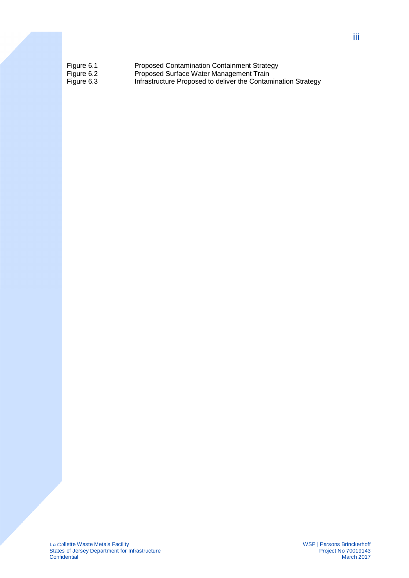| Figure 6.1 | <b>Proposed Contamination Containment Strategy</b>            |
|------------|---------------------------------------------------------------|
| Figure 6.2 | Proposed Surface Water Management Train                       |
| Figure 6.3 | Infrastructure Proposed to deliver the Contamination Strategy |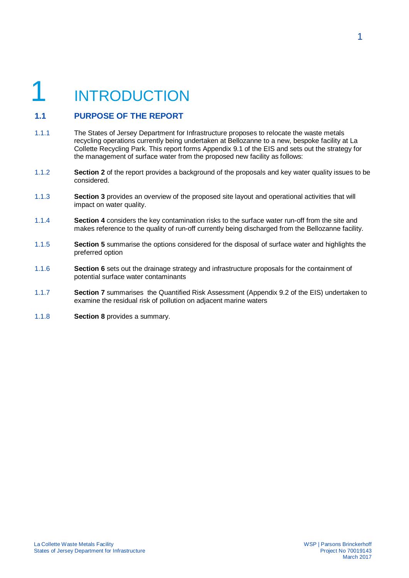# **INTRODUCTION**

#### **1.1 PURPOSE OF THE REPORT**

- 1.1.1 The States of Jersey Department for Infrastructure proposes to relocate the waste metals recycling operations currently being undertaken at Bellozanne to a new, bespoke facility at La Collette Recycling Park. This report forms Appendix 9.1 of the EIS and sets out the strategy for the management of surface water from the proposed new facility as follows:
- 1.1.2 **Section 2** of the report provides a background of the proposals and key water quality issues to be considered.
- 1.1.3 **Section 3** provides an overview of the proposed site layout and operational activities that will impact on water quality.
- 1.1.4 **Section 4** considers the key contamination risks to the surface water run-off from the site and makes reference to the quality of run-off currently being discharged from the Bellozanne facility.
- 1.1.5 **Section 5** summarise the options considered for the disposal of surface water and highlights the preferred option
- 1.1.6 **Section 6** sets out the drainage strategy and infrastructure proposals for the containment of potential surface water contaminants
- 1.1.7 **Section 7** summarises the Quantified Risk Assessment (Appendix 9.2 of the EIS) undertaken to examine the residual risk of pollution on adjacent marine waters
- 1.1.8 **Section 8** provides a summary.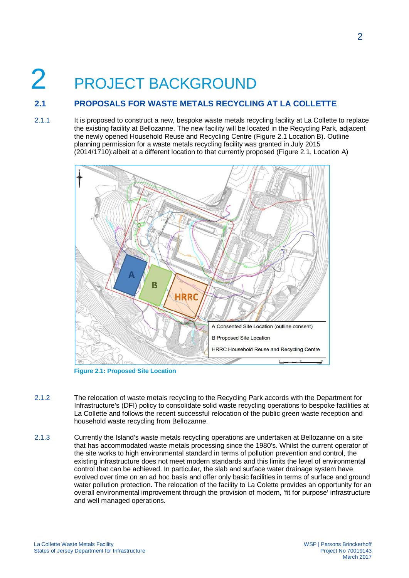# 2 PROJECT BACKGROUND

#### **2.1 PROPOSALS FOR WASTE METALS RECYCLING AT LA COLLETTE**

2.1.1 It is proposed to construct a new, bespoke waste metals recycling facility at La Collette to replace the existing facility at Bellozanne. The new facility will be located in the Recycling Park, adjacent the newly opened Household Reuse and Recycling Centre (Figure 2.1 Location B). Outline planning permission for a waste metals recycling facility was granted in July 2015 (2014/1710):albeit at a different location to that currently proposed (Figure 2.1, Location A)



**Figure 2.1: Proposed Site Location**

- 2.1.2 The relocation of waste metals recycling to the Recycling Park accords with the Department for Infrastructure's (DFI) policy to consolidate solid waste recycling operations to bespoke facilities at La Collette and follows the recent successful relocation of the public green waste reception and household waste recycling from Bellozanne.
- 2.1.3 Currently the Island's waste metals recycling operations are undertaken at Bellozanne on a site that has accommodated waste metals processing since the 1980's. Whilst the current operator of the site works to high environmental standard in terms of pollution prevention and control, the existing infrastructure does not meet modern standards and this limits the level of environmental control that can be achieved. In particular, the slab and surface water drainage system have evolved over time on an ad hoc basis and offer only basic facilities in terms of surface and ground water pollution protection. The relocation of the facility to La Colette provides an opportunity for an overall environmental improvement through the provision of modern, 'fit for purpose' infrastructure and well managed operations.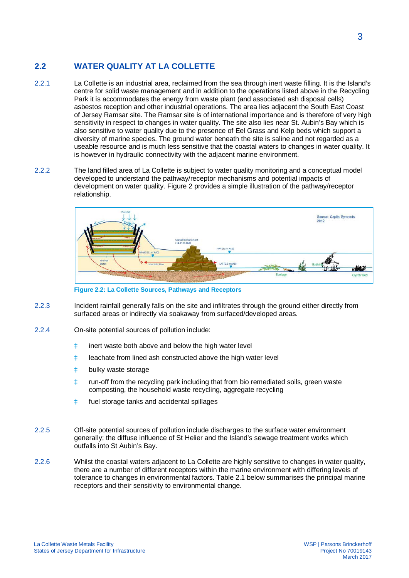#### **2.2 WATER QUALITY AT LA COLLETTE**

- 2.2.1 La Collette is an industrial area, reclaimed from the sea through inert waste filling. It is the Island's centre for solid waste management and in addition to the operations listed above in the Recycling Park it is accommodates the energy from waste plant (and associated ash disposal cells) asbestos reception and other industrial operations. The area lies adjacent the South East Coast of Jersey Ramsar site. The Ramsar site is of international importance and is therefore of very high sensitivity in respect to changes in water quality. The site also lies near St. Aubin's Bay which is also sensitive to water quality due to the presence of Eel Grass and Kelp beds which support a diversity of marine species. The ground water beneath the site is saline and not regarded as a useable resource and is much less sensitive that the coastal waters to changes in water quality. It is however in hydraulic connectivity with the adjacent marine environment.
- 2.2.2 The land filled area of La Collette is subject to water quality monitoring and a conceptual model developed to understand the pathway/receptor mechanisms and potential impacts of development on water quality. Figure 2 provides a simple illustration of the pathway/receptor relationship.



**Figure 2.2: La Collette Sources, Pathways and Receptors**

- 2.2.3 Incident rainfall generally falls on the site and infiltrates through the ground either directly from surfaced areas or indirectly via soakaway from surfaced/developed areas.
- 2.2.4 On-site potential sources of pollution include:
	- à inert waste both above and below the high water level
	- à leachate from lined ash constructed above the high water level
	- à bulky waste storage
	- à run-off from the recycling park including that from bio remediated soils, green waste composting, the household waste recycling, aggregate recycling
	- à fuel storage tanks and accidental spillages
- 2.2.5 Off-site potential sources of pollution include discharges to the surface water environment generally; the diffuse influence of St Helier and the Island's sewage treatment works which outfalls into St Aubin's Bay.
- 2.2.6 Whilst the coastal waters adjacent to La Collette are highly sensitive to changes in water quality, there are a number of different receptors within the marine environment with differing levels of tolerance to changes in environmental factors. Table 2.1 below summarises the principal marine receptors and their sensitivity to environmental change.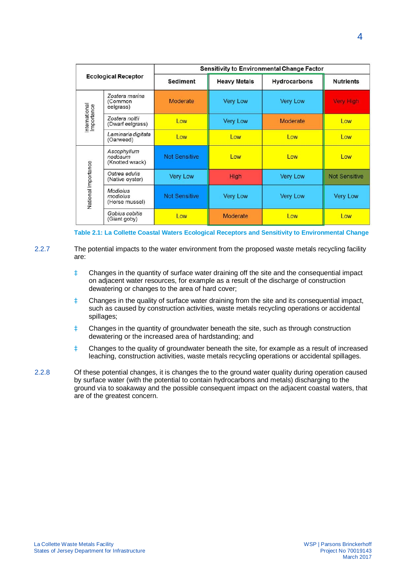| <b>Ecological Receptor</b>  |                                           | <b>Sensitivity to Environmental Change Factor</b> |                     |                 |                      |
|-----------------------------|-------------------------------------------|---------------------------------------------------|---------------------|-----------------|----------------------|
|                             |                                           | <b>Sediment</b>                                   | <b>Heavy Metals</b> | Hydrocarbons    | <b>Nutrients</b>     |
|                             | Zostera marina<br>(Common<br>eelgrass)    | Moderate                                          | <b>Very Low</b>     | <b>Very Low</b> | <b>Very High</b>     |
| International<br>Importance | Zostera noltii<br>(Dwarf eelgrass)        | Low                                               | <b>Very Low</b>     | Moderate        | Low                  |
|                             | Laminaria digitata<br>(Oarweed)           | Low                                               | Low                 | Low             | Low                  |
|                             | Ascophyllum<br>nodosum<br>(Knotted wrack) | <b>Not Sensitive</b>                              | Low                 | Low             | Low                  |
|                             | Ostrea edulis<br>(Native oyster)          | <b>Very Low</b>                                   | High                | <b>Very Low</b> | <b>Not Sensitive</b> |
| National Importance         | Modiolus<br>modiolus<br>(Horse mussel)    | <b>Not Sensitive</b>                              | <b>Very Low</b>     | <b>Very Low</b> | <b>Very Low</b>      |
|                             | Gobius cobitis<br>(Giant goby)            | Low                                               | <b>Moderate</b>     | Low             | Low                  |

**Table 2.1: La Collette Coastal Waters Ecological Receptors and Sensitivity to Environmental Change**

2.2.7 The potential impacts to the water environment from the proposed waste metals recycling facility are:

- à Changes in the quantity of surface water draining off the site and the consequential impact on adjacent water resources, for example as a result of the discharge of construction dewatering or changes to the area of hard cover;
- à Changes in the quality of surface water draining from the site and its consequential impact, such as caused by construction activities, waste metals recycling operations or accidental spillages;
- à Changes in the quantity of groundwater beneath the site, such as through construction dewatering or the increased area of hardstanding; and
- à Changes to the quality of groundwater beneath the site, for example as a result of increased leaching, construction activities, waste metals recycling operations or accidental spillages.
- 2.2.8 Of these potential changes, it is changes the to the ground water quality during operation caused by surface water (with the potential to contain hydrocarbons and metals) discharging to the ground via to soakaway and the possible consequent impact on the adjacent coastal waters, that are of the greatest concern.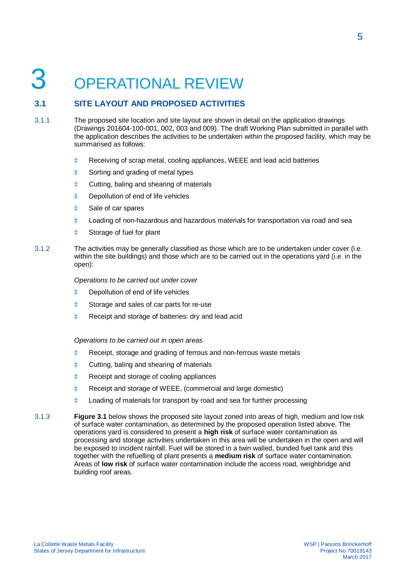## **OPERATIONAL REVIEW**

#### **3.1 SITE LAYOUT AND PROPOSED ACTIVITIES**

- 3.1.1 The proposed site location and site layout are shown in detail on the application drawings (Drawings 201604-100-001, 002, 003 and 009). The draft Working Plan submitted in parallel with the application describes the activities to be undertaken within the proposed facility, which may be summarised as follows:
	- à Receiving of scrap metal, cooling appliances, WEEE and lead acid batteries
	- à Sorting and grading of metal types
	- à Cutting, baling and shearing of materials
	- à Depollution of end of life vehicles
	- à Sale of car spares
	- à Loading of non-hazardous and hazardous materials for transportation via road and sea
	- à Storage of fuel for plant
- 3.1.2 The activities may be generally classified as those which are to be undertaken under cover (i.e. within the site buildings) and those which are to be carried out in the operations yard (i.e. in the open):

*Operations to be carried out under cover*

- à Depollution of end of life vehicles
- à Storage and sales of car parts for re-use
- à Receipt and storage of batteries: dry and lead acid

*Operations to be carried out in open areas*

- à Receipt, storage and grading of ferrous and non-ferrous waste metals
- à Cutting, baling and shearing of materials
- à Receipt and storage of cooling appliances
- à Receipt and storage of WEEE, (commercial and large domestic)
- à Loading of materials for transport by road and sea for further processing
- 3.1.3 **Figure 3.1** below shows the proposed site layout zoned into areas of high, medium and low risk of surface water contamination, as determined by the proposed operation listed above. The operations yard is considered to present a **high risk** of surface water contamination as processing and storage activities undertaken in this area will be undertaken in the open and will be exposed to incident rainfall. Fuel will be stored in a twin walled, bunded fuel tank and this together with the refuelling of plant presents a **medium risk** of surface water contamination. Areas of **low risk** of surface water contamination include the access road, weighbridge and building roof areas.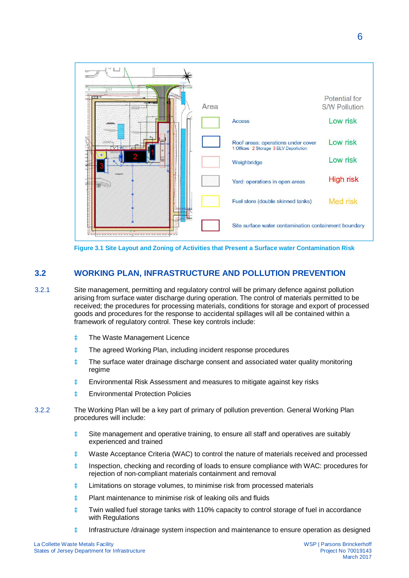

**Figure 3.1 Site Layout and Zoning of Activities that Present a Surface water Contamination Risk**

#### **3.2 WORKING PLAN, INFRASTRUCTURE AND POLLUTION PREVENTION**

- 3.2.1 Site management, permitting and regulatory control will be primary defence against pollution arising from surface water discharge during operation. The control of materials permitted to be received; the procedures for processing materials, conditions for storage and export of processed goods and procedures for the response to accidental spillages will all be contained within a framework of regulatory control. These key controls include:
	- à The Waste Management Licence
	- à The agreed Working Plan, including incident response procedures
	- à The surface water drainage discharge consent and associated water quality monitoring regime
	- à Environmental Risk Assessment and measures to mitigate against key risks
	- à Environmental Protection Policies
- 3.2.2 The Working Plan will be a key part of primary of pollution prevention. General Working Plan procedures will include:
	- à Site management and operative training, to ensure all staff and operatives are suitably experienced and trained
	- à Waste Acceptance Criteria (WAC) to control the nature of materials received and processed
	- à Inspection, checking and recording of loads to ensure compliance with WAC: procedures for rejection of non-compliant materials containment and removal
	- à Limitations on storage volumes, to minimise risk from processed materials
	- à Plant maintenance to minimise risk of leaking oils and fluids
	- à Twin walled fuel storage tanks with 110% capacity to control storage of fuel in accordance with Regulations
	- à Infrastructure /drainage system inspection and maintenance to ensure operation as designed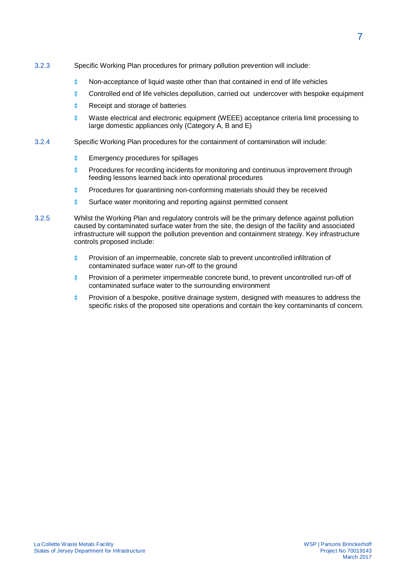- 3.2.3 Specific Working Plan procedures for primary pollution prevention will include:
	- à Non-acceptance of liquid waste other than that contained in end of life vehicles
	- à Controlled end of life vehicles depollution, carried out undercover with bespoke equipment
	- à Receipt and storage of batteries
	- à Waste electrical and electronic equipment (WEEE) acceptance criteria limit processing to large domestic appliances only (Category A, B and E)
- 3.2.4 Specific Working Plan procedures for the containment of contamination will include:
	- à Emergency procedures for spillages
	- à Procedures for recording incidents for monitoring and continuous improvement through feeding lessons learned back into operational procedures
	- à Procedures for quarantining non-conforming materials should they be received
	- à Surface water monitoring and reporting against permitted consent
- 3.2.5 Whilst the Working Plan and regulatory controls will be the primary defence against pollution caused by contaminated surface water from the site, the design of the facility and associated infrastructure will support the pollution prevention and containment strategy. Key infrastructure controls proposed include:
	- à Provision of an impermeable, concrete slab to prevent uncontrolled infiltration of contaminated surface water run-off to the ground
	- à Provision of a perimeter impermeable concrete bund, to prevent uncontrolled run-off of contaminated surface water to the surrounding environment
	- à Provision of a bespoke, positive drainage system, designed with measures to address the specific risks of the proposed site operations and contain the key contaminants of concern.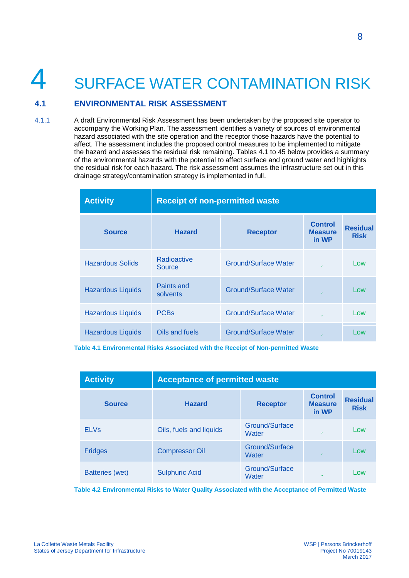## 4 SURFACE WATER CONTAMINATION RISK

#### **4.1 ENVIRONMENTAL RISK ASSESSMENT**

4.1.1 A draft Environmental Risk Assessment has been undertaken by the proposed site operator to accompany the Working Plan. The assessment identifies a variety of sources of environmental hazard associated with the site operation and the receptor those hazards have the potential to affect. The assessment includes the proposed control measures to be implemented to mitigate the hazard and assesses the residual risk remaining. Tables 4.1 to 45 below provides a summary of the environmental hazards with the potential to affect surface and ground water and highlights the residual risk for each hazard. The risk assessment assumes the infrastructure set out in this drainage strategy/contamination strategy is implemented in full.

| <b>Activity</b>          | <b>Receipt of non-permitted waste</b> |                             |                                           |                                |
|--------------------------|---------------------------------------|-----------------------------|-------------------------------------------|--------------------------------|
| <b>Source</b>            | <b>Hazard</b>                         | <b>Receptor</b>             | <b>Control</b><br><b>Measure</b><br>in WP | <b>Residual</b><br><b>Risk</b> |
| <b>Hazardous Solids</b>  | Radioactive<br>Source                 | Ground/Surface Water        | ü                                         | Low                            |
| <b>Hazardous Liquids</b> | Paints and<br>solvents                | <b>Ground/Surface Water</b> | Ű                                         | Low                            |
| <b>Hazardous Liquids</b> | <b>PCBs</b>                           | <b>Ground/Surface Water</b> | Ü                                         | Low                            |
| <b>Hazardous Liquids</b> | Oils and fuels                        | <b>Ground/Surface Water</b> | Ű                                         | Low                            |

**Table 4.1 Environmental Risks Associated with the Receipt of Non-permitted Waste**

| <b>Activity</b>        | <b>Acceptance of permitted waste</b> |                         |                                           |                                |  |
|------------------------|--------------------------------------|-------------------------|-------------------------------------------|--------------------------------|--|
| <b>Source</b>          | <b>Hazard</b>                        | <b>Receptor</b>         | <b>Control</b><br><b>Measure</b><br>in WP | <b>Residual</b><br><b>Risk</b> |  |
| <b>ELVs</b>            | Oils, fuels and liquids              | Ground/Surface<br>Water | Ű                                         | Low                            |  |
| <b>Fridges</b>         | <b>Compressor Oil</b>                | Ground/Surface<br>Water | ü                                         | Low                            |  |
| <b>Batteries (wet)</b> | <b>Sulphuric Acid</b>                | Ground/Surface<br>Water | ü                                         | Low                            |  |

**Table 4.2 Environmental Risks to Water Quality Associated with the Acceptance of Permitted Waste**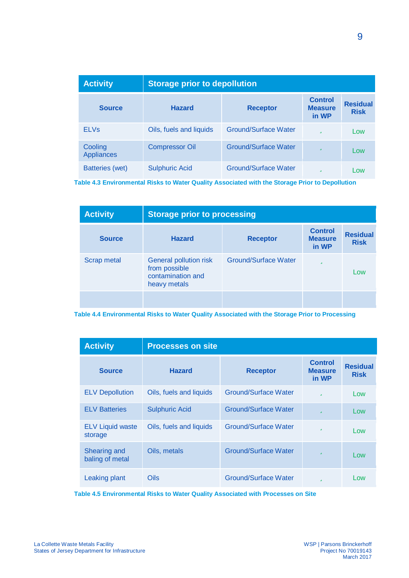| <b>Activity</b>              | <b>Storage prior to depollution</b> |                             |                                           |                                |
|------------------------------|-------------------------------------|-----------------------------|-------------------------------------------|--------------------------------|
| <b>Source</b>                | <b>Hazard</b>                       | <b>Receptor</b>             | <b>Control</b><br><b>Measure</b><br>in WP | <b>Residual</b><br><b>Risk</b> |
| <b>ELVs</b>                  | Oils, fuels and liquids             | <b>Ground/Surface Water</b> | Ű                                         | Low                            |
| Cooling<br><b>Appliances</b> | <b>Compressor Oil</b>               | <b>Ground/Surface Water</b> | ü                                         | Low                            |
| <b>Batteries (wet)</b>       | <b>Sulphuric Acid</b>               | <b>Ground/Surface Water</b> | Ű                                         | Low                            |

**Table 4.3 Environmental Risks to Water Quality Associated with the Storage Prior to Depollution**

| <b>Activity</b>    | <b>Storage prior to processing</b>                                           |                             |                                           |                                |
|--------------------|------------------------------------------------------------------------------|-----------------------------|-------------------------------------------|--------------------------------|
| <b>Source</b>      | <b>Hazard</b>                                                                | <b>Receptor</b>             | <b>Control</b><br><b>Measure</b><br>in WP | <b>Residual</b><br><b>Risk</b> |
| <b>Scrap metal</b> | General pollution risk<br>from possible<br>contamination and<br>heavy metals | <b>Ground/Surface Water</b> | Ű                                         | Low                            |
|                    |                                                                              |                             |                                           |                                |

**Table 4.4 Environmental Risks to Water Quality Associated with the Storage Prior to Processing**

| <b>Activity</b>                    | <b>Processes on site</b> |                             |                                           |                                |
|------------------------------------|--------------------------|-----------------------------|-------------------------------------------|--------------------------------|
| <b>Source</b>                      | <b>Hazard</b>            | <b>Receptor</b>             | <b>Control</b><br><b>Measure</b><br>in WP | <b>Residual</b><br><b>Risk</b> |
| <b>ELV Depollution</b>             | Oils, fuels and liquids  | <b>Ground/Surface Water</b> | Ü                                         | Low                            |
| <b>ELV Batteries</b>               | <b>Sulphuric Acid</b>    | <b>Ground/Surface Water</b> | ü                                         | Low                            |
| <b>ELV Liquid waste</b><br>storage | Oils, fuels and liquids  | <b>Ground/Surface Water</b> | ü                                         | Low                            |
| Shearing and<br>baling of metal    | Oils, metals             | <b>Ground/Surface Water</b> | ü                                         | Low                            |
| Leaking plant                      | Oils                     | Ground/Surface Water        | ü                                         | Low                            |

**Table 4.5 Environmental Risks to Water Quality Associated with Processes on Site**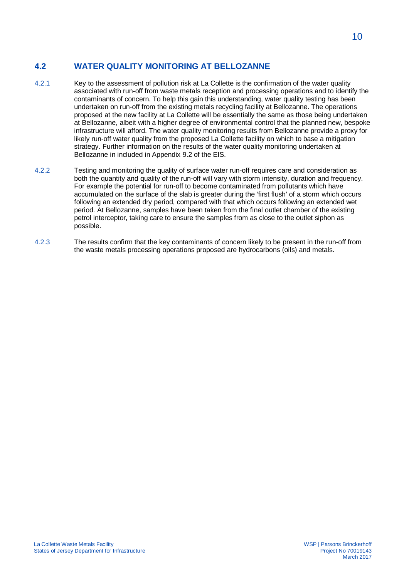#### **4.2 WATER QUALITY MONITORING AT BELLOZANNE**

- 4.2.1 Key to the assessment of pollution risk at La Collette is the confirmation of the water quality associated with run-off from waste metals reception and processing operations and to identify the contaminants of concern. To help this gain this understanding, water quality testing has been undertaken on run-off from the existing metals recycling facility at Bellozanne. The operations proposed at the new facility at La Collette will be essentially the same as those being undertaken at Bellozanne, albeit with a higher degree of environmental control that the planned new, bespoke infrastructure will afford. The water quality monitoring results from Bellozanne provide a proxy for likely run-off water quality from the proposed La Collette facility on which to base a mitigation strategy. Further information on the results of the water quality monitoring undertaken at Bellozanne in included in Appendix 9.2 of the EIS.
- 4.2.2 Testing and monitoring the quality of surface water run-off requires care and consideration as both the quantity and quality of the run-off will vary with storm intensity, duration and frequency. For example the potential for run-off to become contaminated from pollutants which have accumulated on the surface of the slab is greater during the 'first flush' of a storm which occurs following an extended dry period, compared with that which occurs following an extended wet period. At Bellozanne, samples have been taken from the final outlet chamber of the existing petrol interceptor, taking care to ensure the samples from as close to the outlet siphon as possible.
- 4.2.3 The results confirm that the key contaminants of concern likely to be present in the run-off from the waste metals processing operations proposed are hydrocarbons (oils) and metals.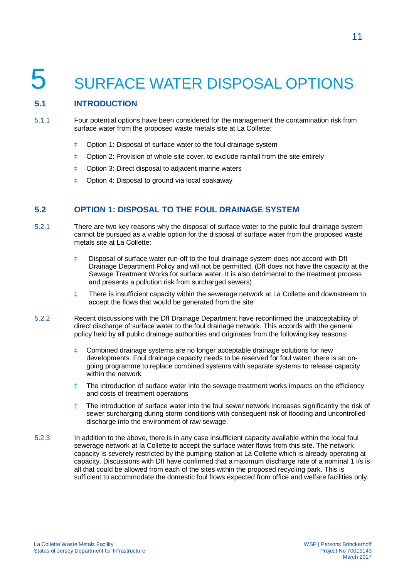## 5 SURFACE WATER DISPOSAL OPTIONS

#### **5.1 INTRODUCTION**

- 5.1.1 Four potential options have been considered for the management the contamination risk from surface water from the proposed waste metals site at La Collette:
	- à Option 1: Disposal of surface water to the foul drainage system
	- à Option 2: Provision of whole site cover, to exclude rainfall from the site entirely
	- à Option 3: Direct disposal to adjacent marine waters
	- à Option 4: Disposal to ground via local soakaway

#### **5.2 OPTION 1: DISPOSAL TO THE FOUL DRAINAGE SYSTEM**

- 5.2.1 There are two key reasons why the disposal of surface water to the public foul drainage system cannot be pursued as a viable option for the disposal of surface water from the proposed waste metals site at La Collette:
	- à Disposal of surface water run-off to the foul drainage system does not accord with DfI Drainage Department Policy and will not be permitted. (DfI does not have the capacity at the Sewage Treatment Works for surface water. It is also detrimental to the treatment process and presents a pollution risk from surcharged sewers)
	- à There is insufficient capacity within the sewerage network at La Collette and downstream to accept the flows that would be generated from the site
- 5.2.2 Recent discussions with the DfI Drainage Department have reconfirmed the unacceptability of direct discharge of surface water to the foul drainage network. This accords with the general policy held by all public drainage authorities and originates from the following key reasons:
	- à Combined drainage systems are no longer acceptable drainage solutions for new developments. Foul drainage capacity needs to be reserved for foul water: there is an ongoing programme to replace combined systems with separate systems to release capacity within the network
	- à The introduction of surface water into the sewage treatment works impacts on the efficiency and costs of treatment operations
	- à The introduction of surface water into the foul sewer network increases significantly the risk of sewer surcharging during storm conditions with consequent risk of flooding and uncontrolled discharge into the environment of raw sewage.
- 5.2.3 In addition to the above, there is in any case insufficient capacity available within the local foul sewerage network at la Collette to accept the surface water flows from this site. The network capacity is severely restricted by the pumping station at La Collette which is already operating at capacity. Discussions with DfI have confirmed that a maximum discharge rate of a nominal 1 l/s is all that could be allowed from each of the sites within the proposed recycling park. This is sufficient to accommodate the domestic foul flows expected from office and welfare facilities only.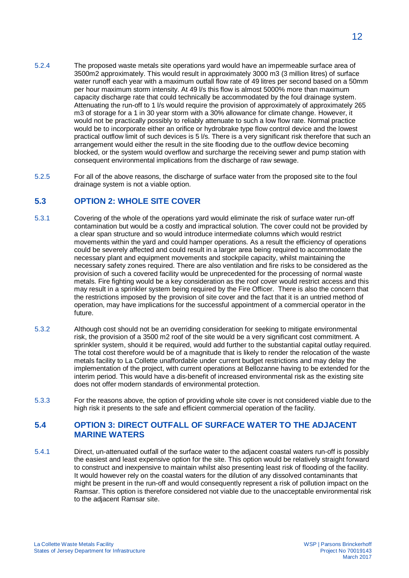- 5.2.4 The proposed waste metals site operations yard would have an impermeable surface area of 3500m2 approximately. This would result in approximately 3000 m3 (3 million litres) of surface water runoff each year with a maximum outfall flow rate of 49 litres per second based on a 50mm per hour maximum storm intensity. At 49 l/s this flow is almost 5000% more than maximum capacity discharge rate that could technically be accommodated by the foul drainage system. Attenuating the run-off to 1 l/s would require the provision of approximately of approximately 265 m3 of storage for a 1 in 30 year storm with a 30% allowance for climate change. However, it would not be practically possibly to reliably attenuate to such a low flow rate. Normal practice would be to incorporate either an orifice or hydrobrake type flow control device and the lowest practical outflow limit of such devices is 5 l/s. There is a very significant risk therefore that such an arrangement would either the result in the site flooding due to the outflow device becoming blocked, or the system would overflow and surcharge the receiving sewer and pump station with consequent environmental implications from the discharge of raw sewage.
- 5.2.5 For all of the above reasons, the discharge of surface water from the proposed site to the foul drainage system is not a viable option.

#### **5.3 OPTION 2: WHOLE SITE COVER**

- 5.3.1 Covering of the whole of the operations yard would eliminate the risk of surface water run-off contamination but would be a costly and impractical solution. The cover could not be provided by a clear span structure and so would introduce intermediate columns which would restrict movements within the yard and could hamper operations. As a result the efficiency of operations could be severely affected and could result in a larger area being required to accommodate the necessary plant and equipment movements and stockpile capacity, whilst maintaining the necessary safety zones required. There are also ventilation and fire risks to be considered as the provision of such a covered facility would be unprecedented for the processing of normal waste metals. Fire fighting would be a key consideration as the roof cover would restrict access and this may result in a sprinkler system being required by the Fire Officer. There is also the concern that the restrictions imposed by the provision of site cover and the fact that it is an untried method of operation, may have implications for the successful appointment of a commercial operator in the future.
- 5.3.2 Although cost should not be an overriding consideration for seeking to mitigate environmental risk, the provision of a 3500 m2 roof of the site would be a very significant cost commitment. A sprinkler system, should it be required, would add further to the substantial capital outlay required. The total cost therefore would be of a magnitude that is likely to render the relocation of the waste metals facility to La Collette unaffordable under current budget restrictions and may delay the implementation of the project, with current operations at Bellozanne having to be extended for the interim period. This would have a dis-benefit of increased environmental risk as the existing site does not offer modern standards of environmental protection.
- 5.3.3 For the reasons above, the option of providing whole site cover is not considered viable due to the high risk it presents to the safe and efficient commercial operation of the facility.

#### **5.4 OPTION 3: DIRECT OUTFALL OF SURFACE WATER TO THE ADJACENT MARINE WATERS**

5.4.1 Direct, un-attenuated outfall of the surface water to the adjacent coastal waters run-off is possibly the easiest and least expensive option for the site. This option would be relatively straight forward to construct and inexpensive to maintain whilst also presenting least risk of flooding of the facility. It would however rely on the coastal waters for the dilution of any dissolved contaminants that might be present in the run-off and would consequently represent a risk of pollution impact on the Ramsar. This option is therefore considered not viable due to the unacceptable environmental risk to the adjacent Ramsar site.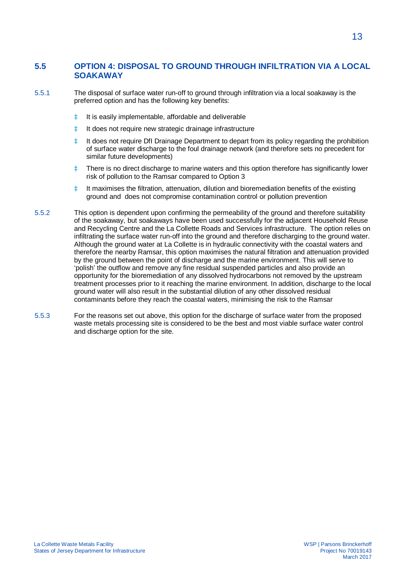#### **5.5 OPTION 4: DISPOSAL TO GROUND THROUGH INFILTRATION VIA A LOCAL SOAKAWAY**

- 5.5.1 The disposal of surface water run-off to ground through infiltration via a local soakaway is the preferred option and has the following key benefits:
	- à It is easily implementable, affordable and deliverable
	- à It does not require new strategic drainage infrastructure
	- à It does not require DfI Drainage Department to depart from its policy regarding the prohibition of surface water discharge to the foul drainage network (and therefore sets no precedent for similar future developments)
	- à There is no direct discharge to marine waters and this option therefore has significantly lower risk of pollution to the Ramsar compared to Option 3
	- à It maximises the filtration, attenuation, dilution and bioremediation benefits of the existing ground and does not compromise contamination control or pollution prevention
- 5.5.2 This option is dependent upon confirming the permeability of the ground and therefore suitability of the soakaway, but soakaways have been used successfully for the adjacent Household Reuse and Recycling Centre and the La Collette Roads and Services infrastructure. The option relies on infiltrating the surface water run-off into the ground and therefore discharging to the ground water. Although the ground water at La Collette is in hydraulic connectivity with the coastal waters and therefore the nearby Ramsar, this option maximises the natural filtration and attenuation provided by the ground between the point of discharge and the marine environment. This will serve to 'polish' the outflow and remove any fine residual suspended particles and also provide an opportunity for the bioremediation of any dissolved hydrocarbons not removed by the upstream treatment processes prior to it reaching the marine environment. In addition, discharge to the local ground water will also result in the substantial dilution of any other dissolved residual contaminants before they reach the coastal waters, minimising the risk to the Ramsar
- 5.5.3 For the reasons set out above, this option for the discharge of surface water from the proposed waste metals processing site is considered to be the best and most viable surface water control and discharge option for the site.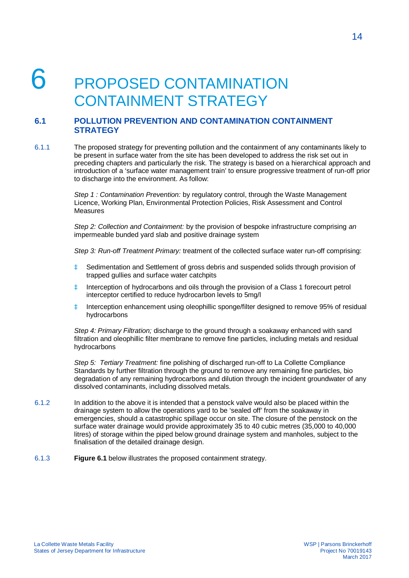## PROPOSED CONTAMINATION CONTAINMENT STRATEGY

#### **6.1 POLLUTION PREVENTION AND CONTAMINATION CONTAINMENT STRATEGY**

6.1.1 The proposed strategy for preventing pollution and the containment of any contaminants likely to be present in surface water from the site has been developed to address the risk set out in preceding chapters and particularly the risk. The strategy is based on a hierarchical approach and introduction of a 'surface water management train' to ensure progressive treatment of run-off prior to discharge into the environment. As follow:

> *Step 1 : Contamination Prevention:* by regulatory control, through the Waste Management Licence, Working Plan, Environmental Protection Policies, Risk Assessment and Control Measures

*Step 2: Collection and Containment:* by the provision of bespoke infrastructure comprising *an* impermeable bunded yard slab and positive drainage system

*Step 3: Run-off Treatment Primary:* treatment of the collected surface water run-off comprising:

- à Sedimentation and Settlement of gross debris and suspended solids through provision of trapped gullies and surface water catchpits
- à Interception of hydrocarbons and oils through the provision of a Class 1 forecourt petrol interceptor certified to reduce hydrocarbon levels to 5mg/l
- à Interception enhancement using oleophillic sponge/filter designed to remove 95% of residual hydrocarbons

*Step 4: Primary Filtration;* discharge to the ground through a soakaway enhanced with sand filtration and oleophillic filter membrane to remove fine particles, including metals and residual hydrocarbons

*Step 5: Tertiary Treatment:* fine polishing of discharged run-off to La Collette Compliance Standards by further filtration through the ground to remove any remaining fine particles, bio degradation of any remaining hydrocarbons and dilution through the incident groundwater of any dissolved contaminants, including dissolved metals.

- 6.1.2 In addition to the above it is intended that a penstock valve would also be placed within the drainage system to allow the operations yard to be 'sealed off' from the soakaway in emergencies, should a catastrophic spillage occur on site. The closure of the penstock on the surface water drainage would provide approximately 35 to 40 cubic metres (35,000 to 40,000 litres) of storage within the piped below ground drainage system and manholes, subject to the finalisation of the detailed drainage design.
- 6.1.3 **Figure 6.1** below illustrates the proposed containment strategy.

March 2017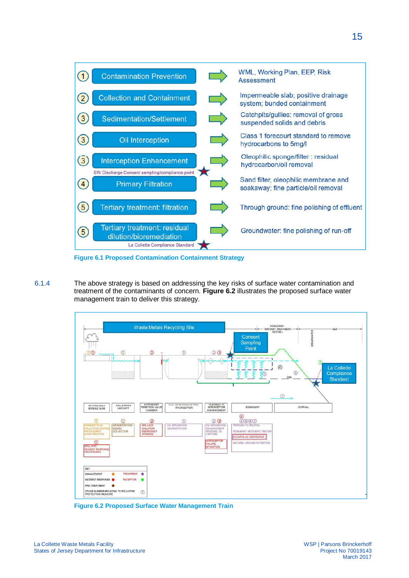![](_page_19_Figure_0.jpeg)

**Figure 6.1 Proposed Contamination Containment Strategy**

6.1.4 The above strategy is based on addressing the key risks of surface water contamination and treatment of the contaminants of concern. **Figure 6.2** illustrates the proposed surface water management train to deliver this strategy.

![](_page_19_Figure_3.jpeg)

**Figure 6.2 Proposed Surface Water Management Train**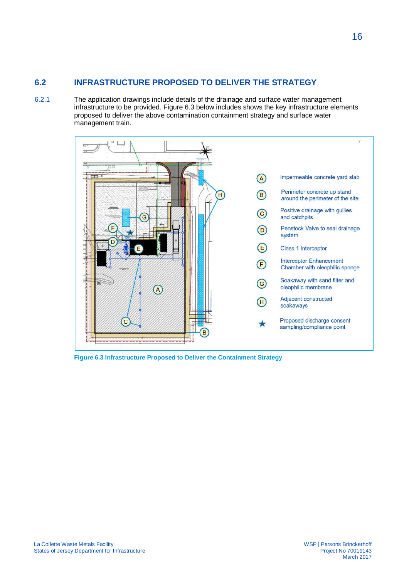#### **6.2 INFRASTRUCTURE PROPOSED TO DELIVER THE STRATEGY**

6.2.1 The application drawings include details of the drainage and surface water management infrastructure to be provided. Figure 6.3 below includes shows the key infrastructure elements proposed to deliver the above contamination containment strategy and surface water management train.

![](_page_20_Figure_2.jpeg)

**Figure 6.3 Infrastructure Proposed to Deliver the Containment Strategy**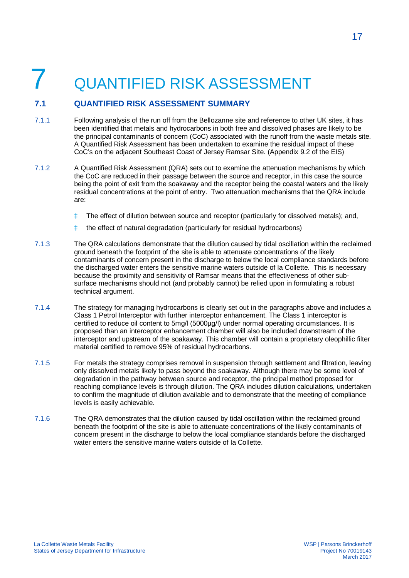## 7 QUANTIFIED RISK ASSESSMENT

#### **7.1 QUANTIFIED RISK ASSESSMENT SUMMARY**

- 7.1.1 Following analysis of the run off from the Bellozanne site and reference to other UK sites, it has been identified that metals and hydrocarbons in both free and dissolved phases are likely to be the principal contaminants of concern (CoC) associated with the runoff from the waste metals site. A Quantified Risk Assessment has been undertaken to examine the residual impact of these CoC's on the adjacent Southeast Coast of Jersey Ramsar Site. (Appendix 9.2 of the EIS)
- 7.1.2 A Quantified Risk Assessment (QRA) sets out to examine the attenuation mechanisms by which the CoC are reduced in their passage between the source and receptor, in this case the source being the point of exit from the soakaway and the receptor being the coastal waters and the likely residual concentrations at the point of entry. Two attenuation mechanisms that the QRA include are:
	- à The effect of dilution between source and receptor (particularly for dissolved metals); and,
	- à the effect of natural degradation (particularly for residual hydrocarbons)
- 7.1.3 The QRA calculations demonstrate that the dilution caused by tidal oscillation within the reclaimed ground beneath the footprint of the site is able to attenuate concentrations of the likely contaminants of concern present in the discharge to below the local compliance standards before the discharged water enters the sensitive marine waters outside of la Collette. This is necessary because the proximity and sensitivity of Ramsar means that the effectiveness of other subsurface mechanisms should not (and probably cannot) be relied upon in formulating a robust technical argument.
- 7.1.4 The strategy for managing hydrocarbons is clearly set out in the paragraphs above and includes a Class 1 Petrol Interceptor with further interceptor enhancement. The Class 1 interceptor is certified to reduce oil content to 5mg/l (5000µg/l) under normal operating circumstances. It is proposed than an interceptor enhancement chamber will also be included downstream of the interceptor and upstream of the soakaway. This chamber will contain a proprietary oleophillic filter material certified to remove 95% of residual hydrocarbons.
- 7.1.5 For metals the strategy comprises removal in suspension through settlement and filtration, leaving only dissolved metals likely to pass beyond the soakaway. Although there may be some level of degradation in the pathway between source and receptor, the principal method proposed for reaching compliance levels is through dilution. The QRA includes dilution calculations, undertaken to confirm the magnitude of dilution available and to demonstrate that the meeting of compliance levels is easily achievable.
- 7.1.6 The QRA demonstrates that the dilution caused by tidal oscillation within the reclaimed ground beneath the footprint of the site is able to attenuate concentrations of the likely contaminants of concern present in the discharge to below the local compliance standards before the discharged water enters the sensitive marine waters outside of la Collette.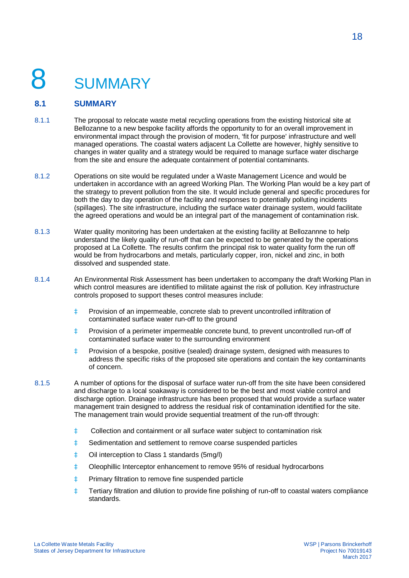# **SUMMARY**

#### **8.1 SUMMARY**

- 8.1.1 The proposal to relocate waste metal recycling operations from the existing historical site at Bellozanne to a new bespoke facility affords the opportunity to for an overall improvement in environmental impact through the provision of modern, 'fit for purpose' infrastructure and well managed operations. The coastal waters adjacent La Collette are however, highly sensitive to changes in water quality and a strategy would be required to manage surface water discharge from the site and ensure the adequate containment of potential contaminants.
- 8.1.2 Operations on site would be regulated under a Waste Management Licence and would be undertaken in accordance with an agreed Working Plan. The Working Plan would be a key part of the strategy to prevent pollution from the site. It would include general and specific procedures for both the day to day operation of the facility and responses to potentially polluting incidents (spillages). The site infrastructure, including the surface water drainage system, would facilitate the agreed operations and would be an integral part of the management of contamination risk.
- 8.1.3 Water quality monitoring has been undertaken at the existing facility at Bellozannne to help understand the likely quality of run-off that can be expected to be generated by the operations proposed at La Collette. The results confirm the principal risk to water quality form the run off would be from hydrocarbons and metals, particularly copper, iron, nickel and zinc, in both dissolved and suspended state.
- 8.1.4 An Environmental Risk Assessment has been undertaken to accompany the draft Working Plan in which control measures are identified to militate against the risk of pollution. Key infrastructure controls proposed to support theses control measures include:
	- à Provision of an impermeable, concrete slab to prevent uncontrolled infiltration of contaminated surface water run-off to the ground
	- à Provision of a perimeter impermeable concrete bund, to prevent uncontrolled run-off of contaminated surface water to the surrounding environment
	- à Provision of a bespoke, positive (sealed) drainage system, designed with measures to address the specific risks of the proposed site operations and contain the key contaminants of concern.
- 8.1.5 A number of options for the disposal of surface water run-off from the site have been considered and discharge to a local soakaway is considered to be the best and most viable control and discharge option. Drainage infrastructure has been proposed that would provide a surface water management train designed to address the residual risk of contamination identified for the site. The management train would provide sequential treatment of the run-off through:
	- à Collection and containment or all surface water subject to contamination risk
	- à Sedimentation and settlement to remove coarse suspended particles
	- à Oil interception to Class 1 standards (5mg/l)
	- à Oleophillic Interceptor enhancement to remove 95% of residual hydrocarbons
	- à Primary filtration to remove fine suspended particle
	- à Tertiary filtration and dilution to provide fine polishing of run-off to coastal waters compliance standards.